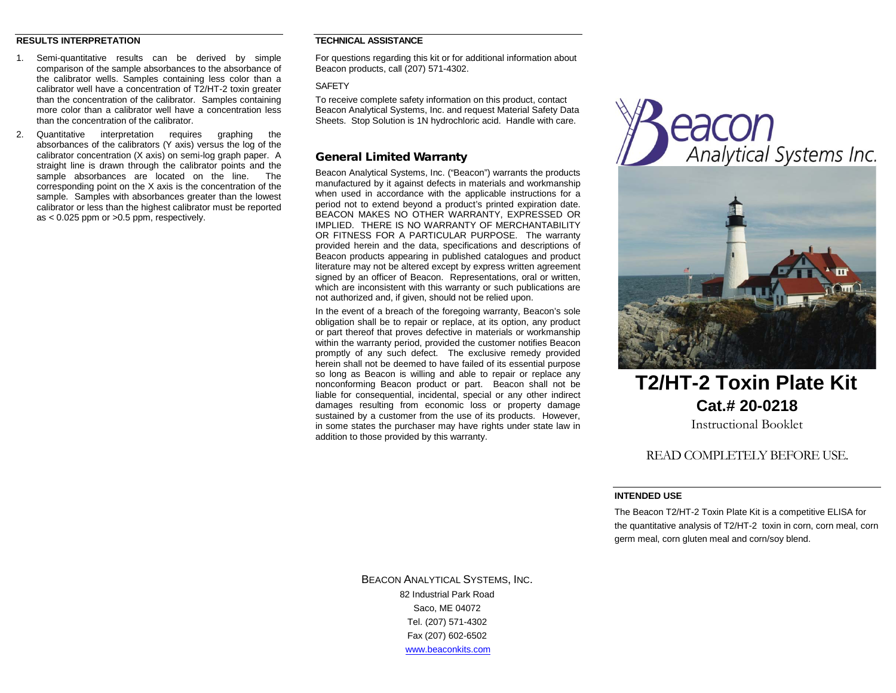#### **RESULTS INTERPRETATION**

- 1. Semi-quantitative results can be derived by simple comparison of the sample absorbances to the absorbance of the calibrator wells. Samples containing less color than a calibrator well have a concentration of T2/HT-2 toxin greater than the concentration of the calibrator. Samples containing more color than a calibrator well have a concentration less than the concentration of the calibrator.
- 2. Quantitative interpretation requires graphing the absorbances of the calibrators (Y axis) versus the log of the calibrator concentration (X axis) on semi-log graph paper. A straight line is drawn through the calibrator points and the sample absorbances are located on the line. The corresponding point on the X axis is the concentration of the sample. Samples with absorbances greater than the lowest calibrator or less than the highest calibrator must be reported as  $< 0.025$  ppm or  $> 0.5$  ppm, respectively.

# **TECHNICAL ASSISTANCE**

For questions regarding this kit or for additional information about Beacon products, call (207) 571-4302.

#### **SAFFTY**

To receive complete safety information on this product, contact Beacon Analytical Systems, Inc. and request Material Safety Data Sheets. Stop Solution is 1N hydrochloric acid. Handle with care.

# General Limited Warranty

Beacon Analytical Systems, Inc. ("Beacon") warrants the products manufactured by it against defects in materials and workmanship when used in accordance with the applicable instructions for a period not to extend beyond a product's printed expiration date. BEACON MAKES NO OTHER WARRANTY, EXPRESSED OR IMPLIED. THERE IS NO WARRANTY OF MERCHANTABILITY OR FITNESS FOR A PARTICULAR PURPOSE. The warranty provided herein and the data, specifications and descriptions of Beacon products appearing in published catalogues and product literature may not be altered except by express written agreement signed by an officer of Beacon. Representations, oral or written, which are inconsistent with this warranty or such publications are not authorized and, if given, should not be relied upon.

In the event of a breach of the foregoing warranty, Beacon's sole obligation shall be to repair or replace, at its option, any product or part thereof that proves defective in materials or workmanship within the warranty period, provided the customer notifies Beacon promptly of any such defect. The exclusive remedy provided herein shall not be deemed to have failed of its essential purpose so long as Beacon is willing and able to repair or replace any nonconforming Beacon product or part. Beacon shall not be liable for consequential, incidental, special or any other indirect damages resulting from economic loss or property damage sustained by a customer from the use of its products. However, in some states the purchaser may have rights under state law in addition to those provided by this warranty.





# **T2/HT-2 Toxin Plate Kit Cat.# 20-0218** Instructional Booklet

# READ COMPLETELY BEFORE USE.

## **INTENDED USE**

The Beacon T2/HT-2 Toxin Plate Kit is a competitive ELISA for the quantitative analysis of T2/HT-2 toxin in corn, corn meal, corn germ meal, corn gluten meal and corn/soy blend.

BEACON ANALYTICAL SYSTEMS, INC. 82 Industrial Park Road Saco, ME 04072 Tel. (207) 571-4302 Fax (207) 602-6502 [www.beaconkits.com](http://www.beaconkits.com/)